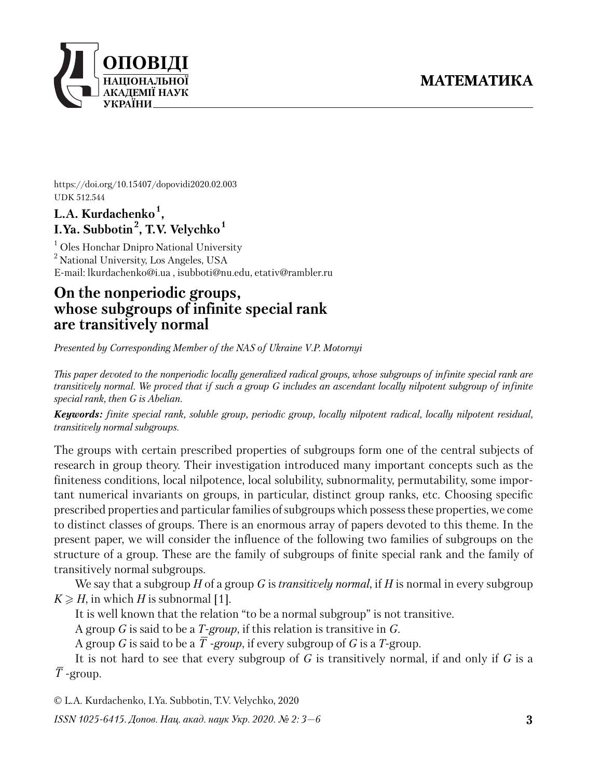

https://doi.org/10.15407/dopovidi2020.02.003 UDK 512.544

## **L.A. Kurdachenko<sup>1</sup> , I.Ya. Subbotin<sup>2</sup> , T.V. Velychko<sup>1</sup>**

<sup>1</sup> Oles Honchar Dnipro National University <sup>2</sup> National University, Los Angeles, USA E-mail: lkurdachenko@i.ua , isubboti@nu.edu, etativ@rambler.ru

# **On the nonperiodic groups, whose subgroups of infinite special rank are transitively normal**

*Presented by Corresponding Member of the NAS of Ukraine V.P. Motornyi*

*This paper devoted to the nonperiodic locally generalized radical groups, whose subgroups of infinite special rank are transitively normal. We proved that if such a group G includes an ascendant locally nilpotent subgroup of infinite special rank, then G is Abelian.*

*Keywords: finite special rank, soluble group, periodic group, locally nilpotent radical, locally nilpotent residual, transitively normal subgroups.*

The groups with certain prescribed properties of subgroups form one of the central subjects of research in group theory. Their investigation introduced many important concepts such as the finiteness conditions, local nilpotence, local solubility, subnormality, permutability, some important numerical invariants on groups, in particular, distinct group ranks, etc. Choosing specific prescribed properties and particular families of subgroups which possess these properties, we come to distinct classes of groups. There is an enormous array of papers devoted to this theme. In the present paper, we will consider the influence of the following two families of subgroups on the structure of a group. These are the family of subgroups of finite special rank and the family of transitively normal subgroups.

We say that a subgroup *H* of a group *G* is *transitively normal*, if *H* is normal in every subgroup  $K \ge H$ , in which *H* is subnormal [1].

It is well known that the relation "to be a normal subgroup" is not transitive.

A group *G* is said to be a *T-group*, if this relation is transitive in *G*.

A group *G* is said to be a  $\overline{T}$  *-group*, if every subgroup of *G* is a *T*-group.

It is not hard to see that every subgroup of *G* is transitively normal, if and only if *G* is a  $\overline{T}$  -group.

© L.A. Kurdachenko, I.Ya. Subbotin, T.V. Velychko, 2020

*ISSN 1025-6415. Допов. Нац. акад. наук Укр. 2020. № 2: 3—6*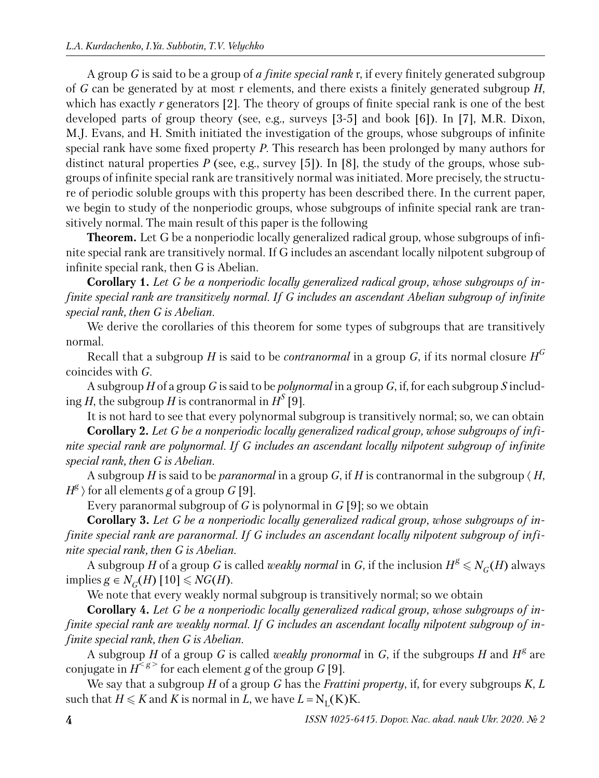A group *G* is said to be a group of *a finite special rank* r, if every finitely generated subgroup of *G* can be generated by at most r elements, and there exists a finitely generated subgroup *H*, which has exactly *r* generators [2]. The theory of groups of finite special rank is one of the best developed parts of group theory (see, e.g., surveys [3-5] and book [6]). In [7], M.R. Dixon, M.J. Evans, and H. Smith initiated the investigation of the groups, whose subgroups of infinite special rank have some fixed property *P*. This research has been prolonged by many authors for distinct natural properties *P* (see, e.g., survey [5]). In [8], the study of the groups, whose subgroups of infinite special rank are transitively normal was initiated. More precisely, the structure of periodic soluble groups with this property has been described there. In the current paper, we begin to study of the nonperiodic groups, whose subgroups of infinite special rank are transitively normal. The main result of this paper is the following

**Theorem.** Let G be a nonperiodic locally generalized radical group, whose subgroups of infinite special rank are transitively normal. If G includes an ascendant locally nilpotent subgroup of infinite special rank, then G is Abelian.

**Corollary 1.** *Let G be a nonperiodic locally generalized radical group, whose subgroups of infinite special rank are transitively normal. If G includes an ascendant Abelian subgroup of infinite special rank, then G is Abelian*.

We derive the corollaries of this theorem for some types of subgroups that are transitively normal.

Recall that a subgroup  $H$  is said to be *contranormal* in a group  $G$ , if its normal closure  $H^G$ coincides with *G*.

A subgroup *H* of a group *G* is said to be *polynormal* in a group *G*, if, for each subgroup *S* including *H*, the subgroup *H* is contranormal in  $H^S$  [9].

It is not hard to see that every polynormal subgroup is transitively normal; so, we can obtain **Corollary 2.** *Let G be a nonperiodic locally generalized radical group, whose subgroups of infinite special rank are polynormal. If G includes an ascendant locally nilpotent subgroup of infinite special rank, then G is Abelian*.

A subgroup *H* is said to be *paranormal* in a group *G*, if *H* is contranormal in the subgroup  $\langle H$ ,  $H^{\mathcal{B}}$   $\rangle$  for all elements  $g$  of a group  $G$  [9].

Every paranormal subgroup of *G* is polynormal in *G* [9]; so we obtain

**Corollary 3.** *Let G be a nonperiodic locally generalized radical group, whose subgroups of infinite special rank are paranormal. If G includes an ascendant locally nilpotent subgroup of infinite special rank, then G is Abelian*.

A subgroup *H* of a group *G* is called *weakly normal* in *G*, if the inclusion  $H^g \le N_G(H)$  always  ${\rm implies } g ∈ N_G(H)$  [10]  $\leqslant NG(H)$ .

We note that every weakly normal subgroup is transitively normal; so we obtain

**Corollary 4.** *Let G be a nonperiodic locally generalized radical group, whose subgroups of in finite special rank are weakly normal. If G includes an ascendant locally nilpotent subgroup of infinite special rank, then G is Abelian*.

A subgroup *H* of a group *G* is called *weakly pronormal* in *G*, if the subgroups *H* and  $H^g$  are conjugate in  $H^{\leq g>}$  for each element *g* of the group *G* [9].

We say that a subgroup *H* of a group *G* has the *Frattini property*, if, for every subgroups *K*, *L* such that  $H \leqslant K$  and  $K$  is normal in  $L$ , we have  $L = N_{\text{L}}(K)K$ .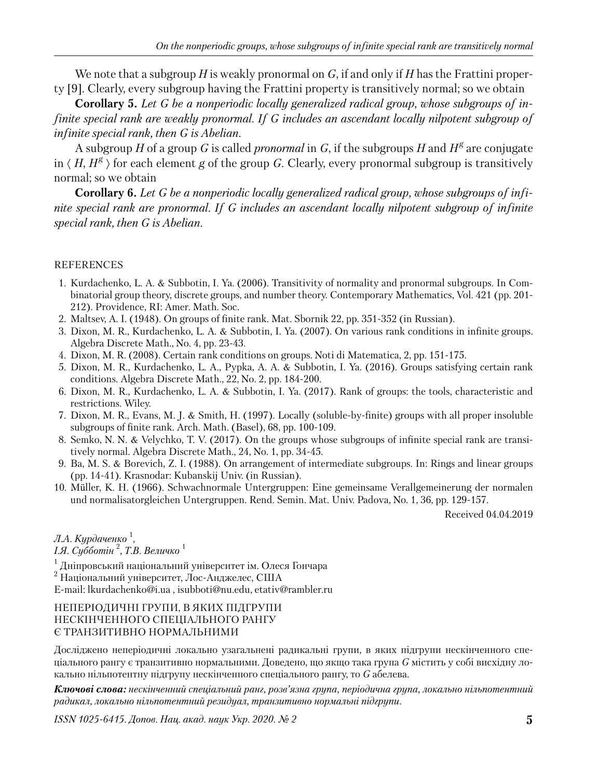We note that a subgroup *H* is weakly pronormal on *G*, if and only if *H* has the Frattini property [9]. Clearly, every subgroup having the Frattini property is transitively normal; so we obtain

**Corollary 5.** *Let G be a nonperiodic locally generalized radical group, whose subgroups of infinite special rank are weakly pronormal. If G includes an ascendant locally nilpotent subgroup of infinite special rank, then G is Abelian*.

A subgroup *H* of a group *G* is called *pronormal* in *G*, if the subgroups *H* and  $H^g$  are conjugate in  $\langle H, H^g \rangle$  for each element *g* of the group *G*. Clearly, every pronormal subgroup is transitively normal; so we obtain

**Corollary 6.** *Let G be a nonperiodic locally generalized radical group, whose subgroups of infinite special rank are pronormal. If G includes an ascendant locally nilpotent subgroup of infinite special rank, then G is Abelian*.

## REFERENCES

- 1. Kurdachenko, L. A. & Subbotin, I. Ya. (2006). Transitivity of normality and pronormal subgroups. In Combinatorial group theory, discrete groups, and number theory. Contemporary Mathematics, Vol. 421 (pp. 201- 212). Providence, RI: Amer. Math. Soc.
- 2. Maltsev, A. I. (1948). On groups of finite rank. Mat. Sbornik 22, pp. 351-352 (in Russian).
- 3. Dixon, M. R., Kurdachenko, L. A. & Subbotin, I. Ya. (2007). On various rank conditions in infinite groups. Algebra Discrete Math., No. 4, pp. 23-43.
- 4. Dixon, M. R. (2008). Certain rank conditions on groups. Noti di Matematica, 2, pp. 151-175.
- 5. Dixon, M. R., Kurdachenko, L. A., Pypka, A. A. & Subbotin, I. Ya. (2016). Groups satisfying certain rank conditions. Algebra Discrete Math., 22, No. 2, pp. 184-200.
- 6. Dixon, M. R., Kurdachenko, L. A. & Subbotin, I. Ya. (2017). Rank of groups: the tools, characteristic and restrictions. Wiley.
- 7. Dixon, M. R., Evans, M. J. & Smith, H. (1997). Locally (soluble-by-finite) groups with all proper insoluble subgroups of finite rank. Arch. Math. (Basel), 68, pp. 100-109.
- 8. Semko, N. N. & Velychko, T. V. (2017). On the groups whose subgroups of infinite special rank are transitively normal. Algebra Discrete Math., 24, No. 1, pp. 34-45.
- 9. Ba, M. S. & Borevich, Z. I. (1988). On arrangement of intermediate subgroups. In: Rings and linear groups (pp. 14-41). Krasnodar: Kubanskij Univ. (in Russian).
- 10. Müller, K. H. (1966). Schwachnormale Untergruppen: Eine gemeinsame Verallgemeinerung der normalen und normalisatorgleichen Untergruppen. Rend. Semin. Mat. Univ. Padova, No. 1, 36, pp. 129-157.

Received 04.04.2019

## *Л.A. Kурдаченко* <sup>1</sup> *,*

#### *I.Я. Субботін* <sup>2</sup> *, Т.В. Величко* <sup>1</sup>

 $^{\rm 1}$  Дніпровський національний університет ім. Олеся Гончара

2 Національний університет, Лос-Анджелес, США

E-mail: lkurdachenko@i.ua , isubboti@nu.edu, etativ@rambler.ru

#### НЕПЕРІОДИЧНІ ГРУПИ, В ЯКИХ ПІДГРУПИ НЕСКІНЧЕННОГО СПЕЦІАЛЬНОГО РАНГУ Є ТРАНЗИТИВНО НОРМАЛЬНИМИ

Досліджено неперіодичні локально узагальнені радикальні групи, в яких підгрупи нескінченного спеціального рангу є транзитивно нормальними. Доведено, що якщо така група *G* містить у собі висхідну локально нільпотентну підгрупу нескінченного спеціального рангу, то *G* абелева.

*Ключові слова: нескінченний спеціальний ранг, розв'язна група, періодична група, локально нільпотентний радикал, локально нільпотентний резидуал, транзитивно нормальні підгрупи.*

*ISSN 1025-6415. Допов. Нац. акад. наук Укр. 2020. № 2* **5**